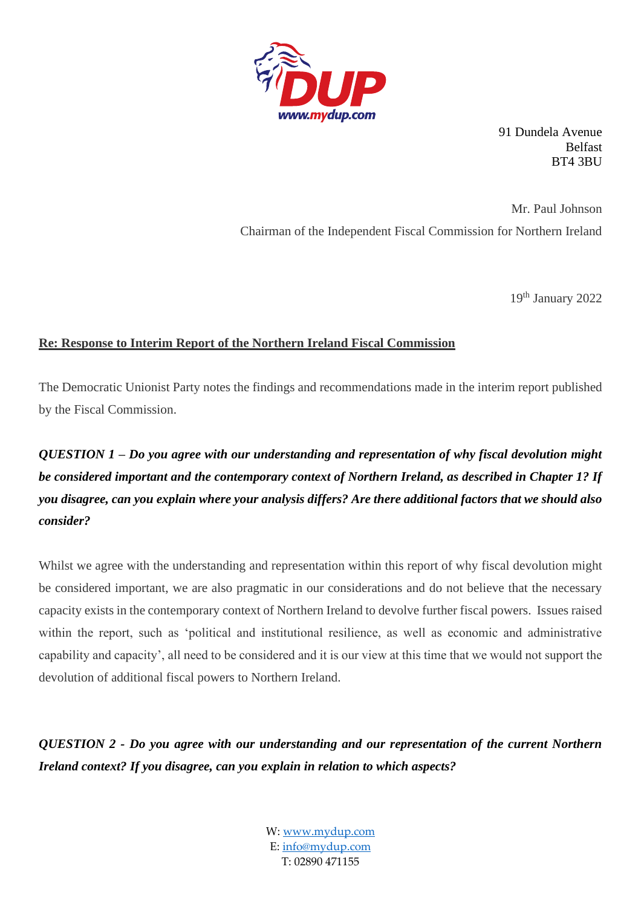

91 Dundela Avenue Belfast BT4 3BU

Mr. Paul Johnson Chairman of the Independent Fiscal Commission for Northern Ireland

19<sup>th</sup> January 2022

## **Re: Response to Interim Report of the Northern Ireland Fiscal Commission**

The Democratic Unionist Party notes the findings and recommendations made in the interim report published by the Fiscal Commission.

*QUESTION 1 – Do you agree with our understanding and representation of why fiscal devolution might be considered important and the contemporary context of Northern Ireland, as described in Chapter 1? If you disagree, can you explain where your analysis differs? Are there additional factors that we should also consider?* 

Whilst we agree with the understanding and representation within this report of why fiscal devolution might be considered important, we are also pragmatic in our considerations and do not believe that the necessary capacity exists in the contemporary context of Northern Ireland to devolve further fiscal powers. Issues raised within the report, such as 'political and institutional resilience, as well as economic and administrative capability and capacity', all need to be considered and it is our view at this time that we would not support the devolution of additional fiscal powers to Northern Ireland.

*QUESTION 2 - Do you agree with our understanding and our representation of the current Northern Ireland context? If you disagree, can you explain in relation to which aspects?*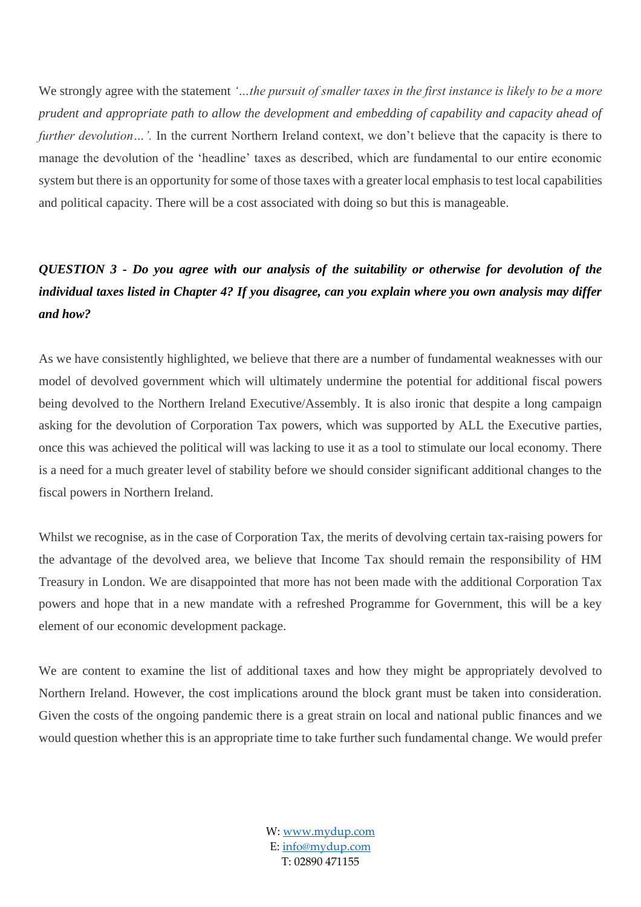We strongly agree with the statement *'…the pursuit of smaller taxes in the first instance is likely to be a more prudent and appropriate path to allow the development and embedding of capability and capacity ahead of further devolution*...'. In the current Northern Ireland context, we don't believe that the capacity is there to manage the devolution of the 'headline' taxes as described, which are fundamental to our entire economic system but there is an opportunity for some of those taxes with a greater local emphasis to test local capabilities and political capacity. There will be a cost associated with doing so but this is manageable.

## *QUESTION 3 - Do you agree with our analysis of the suitability or otherwise for devolution of the individual taxes listed in Chapter 4? If you disagree, can you explain where you own analysis may differ and how?*

As we have consistently highlighted, we believe that there are a number of fundamental weaknesses with our model of devolved government which will ultimately undermine the potential for additional fiscal powers being devolved to the Northern Ireland Executive/Assembly. It is also ironic that despite a long campaign asking for the devolution of Corporation Tax powers, which was supported by ALL the Executive parties, once this was achieved the political will was lacking to use it as a tool to stimulate our local economy. There is a need for a much greater level of stability before we should consider significant additional changes to the fiscal powers in Northern Ireland.

Whilst we recognise, as in the case of Corporation Tax, the merits of devolving certain tax-raising powers for the advantage of the devolved area, we believe that Income Tax should remain the responsibility of HM Treasury in London. We are disappointed that more has not been made with the additional Corporation Tax powers and hope that in a new mandate with a refreshed Programme for Government, this will be a key element of our economic development package.

We are content to examine the list of additional taxes and how they might be appropriately devolved to Northern Ireland. However, the cost implications around the block grant must be taken into consideration. Given the costs of the ongoing pandemic there is a great strain on local and national public finances and we would question whether this is an appropriate time to take further such fundamental change. We would prefer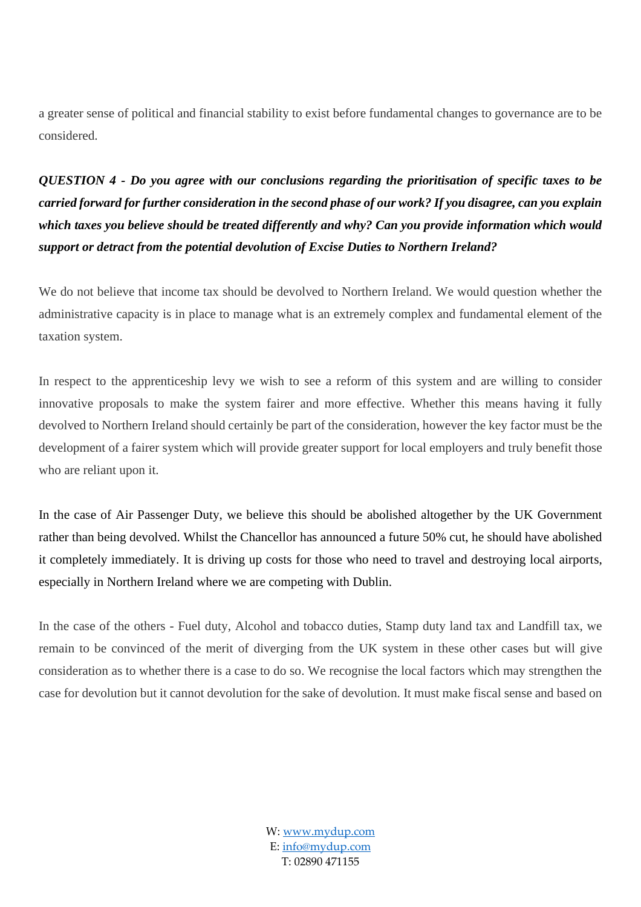a greater sense of political and financial stability to exist before fundamental changes to governance are to be considered.

*QUESTION 4 - Do you agree with our conclusions regarding the prioritisation of specific taxes to be carried forward for further consideration in the second phase of our work? If you disagree, can you explain which taxes you believe should be treated differently and why? Can you provide information which would support or detract from the potential devolution of Excise Duties to Northern Ireland?*

We do not believe that income tax should be devolved to Northern Ireland. We would question whether the administrative capacity is in place to manage what is an extremely complex and fundamental element of the taxation system.

In respect to the apprenticeship levy we wish to see a reform of this system and are willing to consider innovative proposals to make the system fairer and more effective. Whether this means having it fully devolved to Northern Ireland should certainly be part of the consideration, however the key factor must be the development of a fairer system which will provide greater support for local employers and truly benefit those who are reliant upon it.

In the case of Air Passenger Duty, we believe this should be abolished altogether by the UK Government rather than being devolved. Whilst the Chancellor has announced a future 50% cut, he should have abolished it completely immediately. It is driving up costs for those who need to travel and destroying local airports, especially in Northern Ireland where we are competing with Dublin.

In the case of the others - Fuel duty, Alcohol and tobacco duties, Stamp duty land tax and Landfill tax, we remain to be convinced of the merit of diverging from the UK system in these other cases but will give consideration as to whether there is a case to do so. We recognise the local factors which may strengthen the case for devolution but it cannot devolution for the sake of devolution. It must make fiscal sense and based on